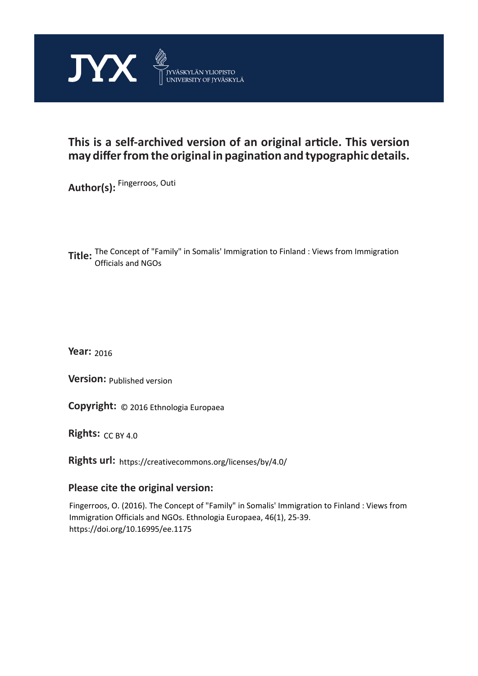

# **This is a self-archived version of an original article. This version may differ from the original in pagination and typographic details.**

**Author(s):**  Fingerroos, Outi

**Title:** The Concept of "Family" in Somalis' Immigration to Finland : Views from Immigration<br> **Title:** efficials and NGOs Officials and NGOs

**Year:**  2016

**Version:**

**Version:** Published version<br>**Copyright:** © 2016 Ethnologia Europaea

**Rights:** CC BY 4.0

**Rights url:**  https://creativecommons.org/licenses/by/4.0/

## **Please cite the original version:**

Fingerroos, O. (2016). The Concept of "Family" in Somalis' Immigration to Finland : Views from Immigration Officials and NGOs. Ethnologia Europaea, 46(1), 25-39. https://doi.org/10.16995/ee.1175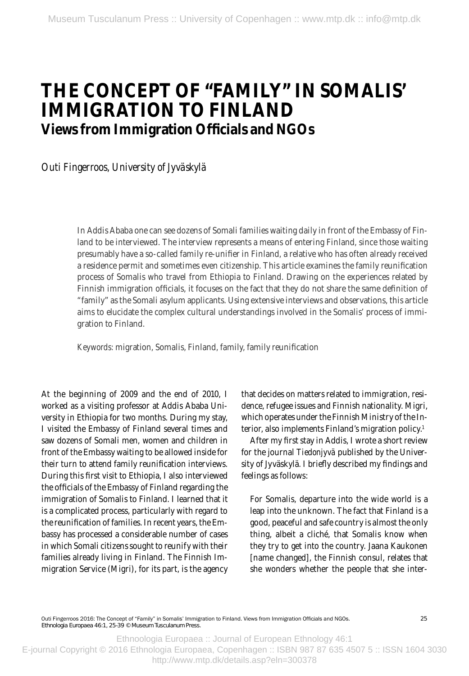# **THE CONCEPT OF "FAMILY" IN SOMALIS' IMMIGRATION TO FINLAND Views from Immigration Officials and NGOs**

*Outi Fingerroos, University of Jyväskylä* 

In Addis Ababa one can see dozens of Somali families waiting daily in front of the Embassy of Finland to be interviewed. The interview represents a means of entering Finland, since those waiting presumably have a so-called family re-unifier in Finland, a relative who has of ten already received a residence permit and sometimes even citizenship. This article examines the family reunification process of Somalis who travel from Ethiopia to Finland. Drawing on the experiences related by Finnish immigration officials, it focuses on the fact that they do not share the same definition of "family" as the Somali asylum applicants. Using extensive inter views and observations, this article aims to elucidate the complex cultural understandings involved in the Somalis' process of immigration to Finland.

*Keywords :* migration, Somalis, Finland, family, family reunification

At the beginning of 2009 and the end of 2010, I worked as a visiting professor at Addis Ababa University in Ethiopia for two months. During my stay, I visited the Embassy of Finland several times and saw dozens of Somali men, women and children in front of the Embassy waiting to be allowed inside for their turn to attend family reunification interviews. During this first visit to Ethiopia, I also interviewed the officials of the Embassy of Finland regarding the immigration of Somalis to Finland. I learned that it is a complicated process, particularly with regard to the reunification of families. In recent years, the Embassy has processed a considerable number of cases in which Somali citizens sought to reunify with their families already living in Finland. The Finnish Immigration Service (Migri), for its part, is the agency that decides on matters related to immigration, residence, refugee issues and Finnish nationality. Migri, which operates under the Finnish Ministry of the Interior, also implements Finland's migration policy.<sup>1</sup>

After my first stay in Addis, I wrote a short review for the journal *Tiedonjyvä* published by the University of Jy väskylä. I briefly described my findings and feelings as follows:

For Somalis, departure into the wide world is a leap into the unknown. The fact that Finland is a good, peaceful and safe country is almost the only thing, albeit a cliché, that Somalis know when they try to get into the country. Jaana Kaukonen [name changed], the Finnish consul, relates that she wonders whether the people that she inter-

Outi Fingerroos 2016: The Concept of "Family" in Somalis' Immigration to Finland. Views from Immigration Officials and NGOs. *Ethnologia Europaea* 46:1, 25-39 © Museum Tusculanum Press.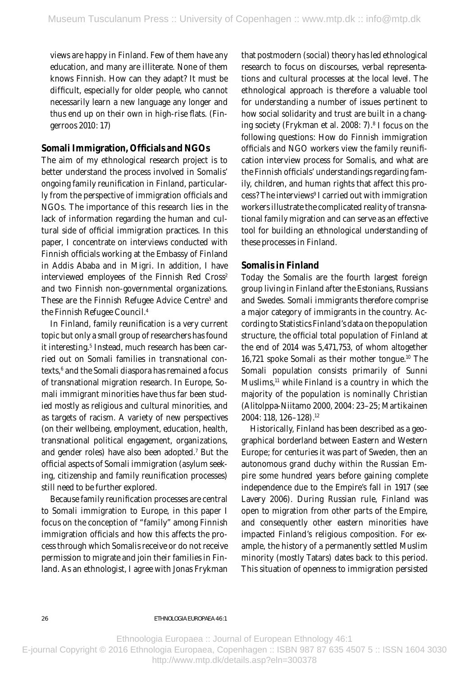views are happy in Finland. Few of them have any education, and many are illiterate. None of them knows Finnish. How can they adapt? It must be difficult, especially for older people, who cannot necessarily learn a new language any longer and thus end up on their own in high-rise flats. (Fingerroos 2010: 17)

### **Somali Immigration, Officials and NGOs**

The aim of my ethnological research project is to better understand the process involved in Somalis' ongoing family reunification in Finland, particularly from the perspective of immigration officials and NGOs. The importance of this research lies in the lack of information regarding the human and cultural side of official immigration practices. In this paper, I concentrate on interviews conducted with Finnish officials working at the Embassy of Finland in Addis Ababa and in Migri. In addition, I have interviewed employees of the Finnish Red Cross<sup>2</sup> and two Finnish non-governmental organizations. These are the Finnish Refugee Advice Centre<sup>3</sup> and the Finnish Refugee Council.4

In Finland, family reunification is a very current topic but only a small group of researchers has found it interesting.<sup>5</sup> Instead, much research has been carried out on Somali families in transnational contexts,<sup>6</sup> and the Somali diaspora has remained a focus of transnational migration research. In Europe, Somali immigrant minorities have thus far been studied mostly as religious and cultural minorities, and as targets of racism. A variety of new perspectives (on their wellbeing, employment, education, health, transnational political engagement, organizations, and gender roles) have also been adopted.7 But the official aspects of Somali immigration (asylum seeking, citizenship and family reunification processes) still need to be further explored.

Because family reunification processes are central to Somali immigration to Europe, in this paper I focus on the conception of "family" among Finnish immigration officials and how this affects the process through which Somalis receive or do not receive permission to migrate and join their families in Finland. As an ethnologist, I agree with Jonas Frykman that postmodern (social) theory has led ethnological research to focus on discourses, verbal representations and cultural processes at the local level. The ethnological approach is therefore a valuable tool for understanding a number of issues pertinent to how social solidarity and trust are built in a changing society (Frykman et al. 2008: 7).<sup>8</sup> I focus on the following questions: How do Finnish immigration officials and NGO workers view the family reunification interview process for Somalis, and what are the Finnish officials' understandings regarding family, children, and human rights that affect this process? The interviews<sup>9</sup> I carried out with immigration workers illustrate the complicated reality of transnational family migration and can serve as an effective tool for building an ethnological understanding of these processes in Finland.

## **Somalis in Finland**

Today the Somalis are the fourth largest foreign group living in Finland after the Estonians, Russians and Swedes. Somali immigrants therefore comprise a major category of immigrants in the country. According to Statistics Finland 's data on the population structure, the official total population of Finland at the end of 2014 was 5,471,753, of whom altogether 16,721 spoke Somali as their mother tongue.10 The Somali population consists primarily of Sunni Muslims,<sup>11</sup> while Finland is a country in which the majority of the population is nominally Christian (Alitolppa-Niitamo 2000, 2004: 23 –25; Martikainen 2004: 118, 126-128).<sup>12</sup>

Historically, Finland has been described as a geographical borderland between Eastern and Western Europe; for centuries it was part of Sweden, then an autonomous grand duchy within the Russian Empire some hundred years before gaining complete independence due to the Empire's fall in 1917 (see Lavery 2006). During Russian rule, Finland was open to migration from other parts of the Empire, and consequently other eastern minorities have impacted Finland 's religious composition. For example, the history of a permanently settled Muslim minority (mostly Tatars) dates back to this period. This situation of openness to immigration persisted

 $26$ 

eThnologia euroPaea 46:1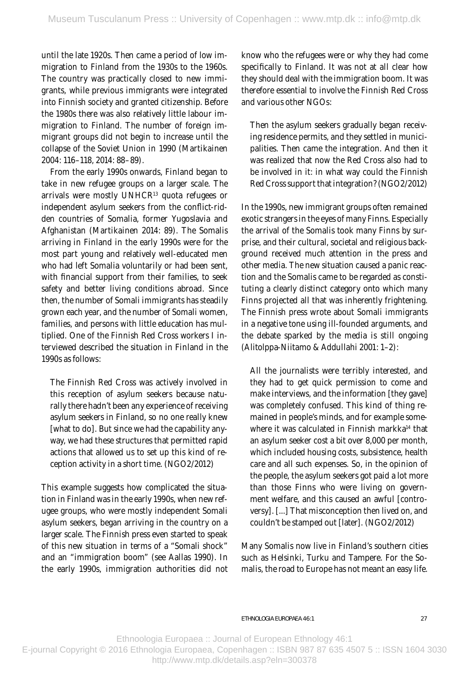until the late 1920s. Then came a period of low immigration to Finland from the 1930s to the 1960s. The country was practically closed to new immigrants, while previous immigrants were integrated into Finnish society and granted citizenship. Before the 1980s there was also relatively little labour immigration to Finland. The number of foreign immigrant groups did not begin to increase until the collapse of the Soviet Union in 1990 (Martikainen 2004: 116 –118, 2014: 88–89).

From the early 1990s onwards, Finland began to take in new refugee groups on a larger scale. The arrivals were mostly UNHCR13 quota refugees or independent asylum seekers from the conflict-ridden countries of Somalia, former Yugoslavia and Afghanistan (Martikainen 2014: 89). The Somalis arriving in Finland in the early 1990s were for the most part young and relatively well-educated men who had left Somalia voluntarily or had been sent, with financial support from their families, to seek safety and better living conditions abroad. Since then, the number of Somali immigrants has steadily grown each year, and the number of Somali women, families, and persons with little education has multiplied. One of the Finnish Red Cross workers I interviewed described the situation in Finland in the 1990s as follows :

The Finnish Red Cross was actively involved in this reception of asylum seekers because naturally there hadn't been any experience of receiving asylum seekers in Finland, so no one really knew [what to do]. But since we had the capability anyway, we had these structures that permitted rapid actions that allowed us to set up this kind of reception activity in a short time. (NGO2/2012)

This example suggests how complicated the situation in Finland was in the early 1990s, when new refugee groups, who were mostly independent Somali asylum seekers, began arriving in the country on a larger scale. The Finnish press even started to speak of this new situation in terms of a "Somali shock " and an "immigration boom" (see Aallas 1990). In the early 1990s, immigration authorities did not

know who the refugees were or why they had come specifically to Finland. It was not at all clear how they should deal with the immigration boom. It was therefore essential to involve the Finnish Red Cross and various other NGOs:

Then the asylum seekers gradually began receiving residence permits, and they settled in municipalities. Then came the integration. And then it was realized that now the Red Cross also had to be involved in it: in what way could the Finnish Red Cross support that integration? (NGO2/2012)

In the 1990s, new immigrant groups often remained exotic strangers in the eyes of many Finns. Especially the arrival of the Somalis took many Finns by surprise, and their cultural, societal and religious background received much attention in the press and other media. The new situation caused a panic reaction and the Somalis came to be regarded as constituting a clearly distinct category onto which many Finns projected all that was inherently frightening. The Finnish press wrote about Somali immigrants in a negative tone using ill-founded arguments, and the debate sparked by the media is still ongoing (Alitolppa-Niitamo & Addullahi 2001: 1–2):

All the journalists were terribly interested, and they had to get quick permission to come and make interviews, and the information [they gave] was completely confused. This kind of thing remained in people's minds, and for example somewhere it was calculated in Finnish markka<sup>14</sup> that an asylum seeker cost a bit over 8,000 per month, which included housing costs, subsistence, health care and all such expenses. So, in the opinion of the people, the asylum seekers got paid a lot more than those Finns who were living on government welfare, and this caused an awful [controversy]. [...] That misconception then lived on, and couldn't be stamped out [later]. (NGO2/2012)

Many Somalis now live in Finland's southern cities such as Helsinki, Turku and Tampere. For the Somalis, the road to Europe has not meant an easy life.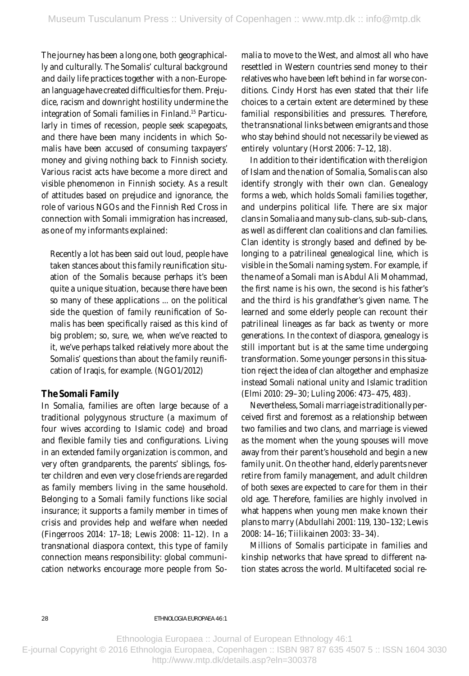The journey has been a long one, both geographically and culturally. The Somalis' cultural background and daily life practices together with a non-European language have created difficulties for them. Prejudice, racism and downright hostility undermine the integration of Somali families in Finland.15 Particularly in times of recession, people seek scapegoats, and there have been many incidents in which Somalis have been accused of consuming taxpayers' money and giving nothing back to Finnish society. Various racist acts have become a more direct and visible phenomenon in Finnish society. As a result of attitudes based on prejudice and ignorance, the role of various NGOs and the Finnish Red Cross in connection with Somali immigration has increased, as one of my informants explained:

Recently a lot has been said out loud, people have taken stances about this family reunification situation of the Somalis because perhaps it's been quite a unique situation, because there have been so many of these applications ... on the political side the question of family reunification of Somalis has been specifically raised as this kind of big problem; so, sure, we, when we've reacted to it, we've perhaps talked relatively more about the Somalis' questions than about the family reunification of Iraqis, for example. (NGO1/2012)

### **The Somali Family**

In Somalia, families are often large because of a traditional polygynous structure (a maximum of four wives according to Islamic code) and broad and flexible family ties and configurations. Living in an extended family organization is common, and very often grandparents, the parents' siblings, foster children and even very close friends are regarded as family members living in the same household. Belonging to a Somali family functions like social insurance; it supports a family member in times of crisis and provides help and welfare when needed (Fingerroos 2014: 17-18; Lewis 2008: 11-12). In a transnational diaspora context, this type of family connection means responsibility: global communication networks encourage more people from Somalia to move to the West, and almost all who have resettled in Western countries send money to their relatives who have been left behind in far worse conditions. Cindy Horst has even stated that their life choices to a certain extent are determined by these familial responsibilities and pressures. Therefore, the transnational links between emigrants and those who stay behind should not necessarily be viewed as entirely voluntary (Horst 2006: 7-12, 18).

In addition to their identification with the religion of Islam and the nation of Somalia, Somalis can also identify strongly with their own clan. Genealogy forms a web, which holds Somali families together, and underpins political life. There are six major clans in Somalia and many sub-clans, sub-sub-clans, as well as different clan coalitions and clan families. Clan identity is strongly based and defined by belonging to a patrilineal genealogical line, which is visible in the Somali naming system. For example, if the name of a Somali man is Abdul Ali Mohammad, the first name is his own, the second is his father's and the third is his grandfather's given name. The learned and some elderly people can recount their patrilineal lineages as far back as twenty or more generations. In the context of diaspora, genealogy is still important but is at the same time undergoing transformation. Some younger persons in this situation reject the idea of clan altogether and emphasize instead Somali national unity and Islamic tradition (Elmi 2010: 29-30; Luling 2006: 473-475, 483).

Nevertheless, Somali marriage is traditionally perceived first and foremost as a relationship between two families and two clans, and marriage is viewed as the moment when the young spouses will move away from their parent's household and begin a new family unit. On the other hand, elderly parents never retire from family management, and adult children of both sexes are expected to care for them in their old age. Therefore, families are highly involved in what happens when young men make known their plans to marry (Abdullahi 2001: 119, 130-132; Lewis 2008: 14 –16 ; Tiilikainen 2003: 33–34).

Millions of Somalis participate in families and kinship networks that have spread to different nation states across the world. Multifaceted social re-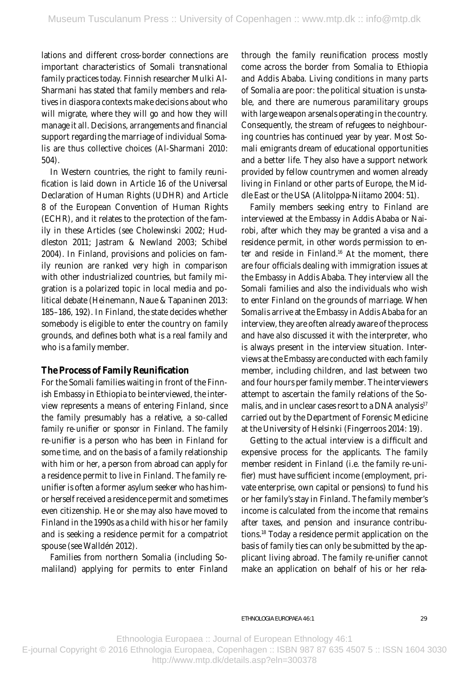lations and different cross-border connections are important characteristics of Somali transnational family practices today. Finnish researcher Mulki Al-Sharmani has stated that family members and relatives in diaspora contexts make decisions about who will migrate, where they will go and how they will manage it all. Decisions, arrangements and financial support regarding the marriage of individual Somalis are thus collective choices (Al-Sharmani 2010: 504).

In Western countries, the right to family reunification is laid down in Article 16 of the Universal Declaration of Human Rights (UDHR) and Article 8 of the European Convention of Human Rights (ECHR), and it relates to the protection of the family in these Articles (see Cholewinski 2002; Huddleston 2011; Jastram & Newland 2003; Schibel 2004). In Finland, provisions and policies on family reunion are ranked very high in comparison with other industrialized countries, but family migration is a polarized topic in local media and political debate (Heinemann, Naue & Tapaninen 2013: 185 –186, 192). In Finland, the state decides whether somebody is eligible to enter the country on family grounds, and defines both what is a real family and who is a family member.

### **The Process of Family Reunification**

For the Somali families waiting in front of the Finnish Embassy in Ethiopia to be interviewed, the interview represents a means of entering Finland, since the family presumably has a relative, a so-called *family re-unifier* or *sponsor* in Finland. The family re-unifier is a person who has been in Finland for some time, and on the basis of a family relationship with him or her, a person from abroad can apply for a residence permit to live in Finland. The family reunifier is often a former asylum seeker who has himor herself received a residence permit and sometimes even citizenship. He or she may also have moved to Finland in the 1990s as a child with his or her family and is seeking a residence permit for a compatriot spouse (see Walldén 2012).

Families from northern Somalia (including Somaliland) applying for permits to enter Finland through the family reunification process mostly come across the border from Somalia to Ethiopia and Addis Ababa. Living conditions in many parts of Somalia are poor: the political situation is unstable, and there are numerous paramilitary groups with large weapon arsenals operating in the country. Consequently, the stream of refugees to neighbouring countries has continued year by year. Most Somali emigrants dream of educational opportunities and a better life. They also have a support network provided by fellow countrymen and women already living in Finland or other parts of Europe, the Middle East or the USA (Alitolppa-Niitamo 2004: 51).

Family members seeking entry to Finland are interviewed at the Embassy in Addis Ababa or Nairobi, after which they may be granted a visa and a residence permit, in other words permission to enter and reside in Finland.16 At the moment, there are four officials dealing with immigration issues at the Embassy in Addis Ababa. They interview all the Somali families and also the individuals who wish to enter Finland on the grounds of marriage. When Somalis arrive at the Embassy in Addis Ababa for an interview, they are often already aware of the process and have also discussed it with the interpreter, who is always present in the interview situation. Interviews at the Embassy are conducted with each family member, including children, and last between two and four hours per family member. The interviewers attempt to ascertain the family relations of the Somalis, and in unclear cases resort to a DNA analysis<sup>17</sup> carried out by the Department of Forensic Medicine at the University of Helsinki (Fingerroos 2014: 19).

Getting to the actual interview is a difficult and expensive process for the applicants. The family member resident in Finland (i.e. the family re-unifier) must have sufficient income (employment, private enterprise, own capital or pensions) to fund his or her family's stay in Finland. The family member's income is calculated from the income that remains after taxes, and pension and insurance contributions.18 Today a residence permit application on the basis of family ties can only be submitted by the applicant living abroad. The family re-unifier cannot make an application on behalf of his or her rela-

Ethnoologia Europaea :: Journal of European Ethnology 46:1

E-journal Copyright © 2016 Ethnologia Europaea, Copenhagen :: ISBN 987 87 635 4507 5 :: ISSN 1604 3030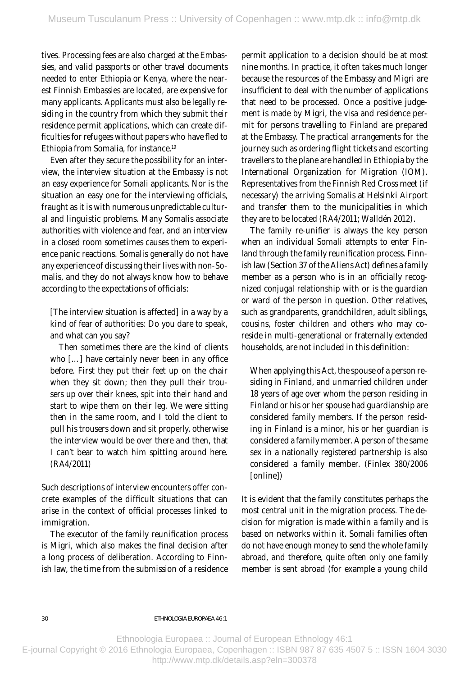tives. Processing fees are also charged at the Embassies, and valid passports or other travel documents needed to enter Ethiopia or Kenya, where the nearest Finnish Embassies are located, are expensive for many applicants. Applicants must also be legally residing in the country from which they submit their residence permit applications, which can create difficulties for refugees without papers who have fled to Ethiopia from Somalia, for instance.19

Even after they secure the possibility for an interview, the interview situation at the Embassy is not an easy experience for Somali applicants. Nor is the situation an easy one for the interviewing officials, fraught as it is with numerous unpredictable cultural and linguistic problems. Many Somalis associate authorities with violence and fear, and an interview in a closed room sometimes causes them to experience panic reactions. Somalis generally do not have any experience of discussing their lives with non-Somalis, and they do not always know how to behave according to the expectations of officials :

[The interview situation is affected] in a way by a kind of fear of authorities: Do you dare to speak, and what can you say?

Then sometimes there are the kind of clients who […] have certainly never been in any office before. First they put their feet up on the chair when they sit down; then they pull their trousers up over their knees, spit into their hand and start to wipe them on their leg. We were sitting then in the same room, and I told the client to pull his trousers down and sit properly, otherwise the interview would be over there and then, that I can't bear to watch him spitting around here. (R A4/2011)

Such descriptions of interview encounters offer concrete examples of the difficult situations that can arise in the context of official processes linked to immigration.

The executor of the family reunification process is Migri, which also makes the final decision after a long process of deliberation. According to Finnish law, the time from the submission of a residence permit application to a decision should be at most nine months. In practice, it often takes much longer because the resources of the Embassy and Migri are insufficient to deal with the number of applications that need to be processed. Once a positive judgement is made by Migri, the visa and residence permit for persons travelling to Finland are prepared at the Embassy. The practical arrangements for the journey such as ordering flight tickets and escorting travellers to the plane are handled in Ethiopia by the International Organization for Migration (IOM). Representatives from the Finnish Red Cross meet (if necessar y) the arriving Somalis at Helsinki Airport and transfer them to the municipalities in which they are to be located (R A4/2011; Walldén 2012).

The family re-unifier is always the key person when an individual Somali attempts to enter Finland through the family reunification process. Finnish law (Section 37 of the Aliens Act) defines a family member as a person who is in an officially recognized conjugal relationship with or is the guardian or ward of the person in question. Other relatives, such as grandparents, grandchildren, adult siblings, cousins, foster children and others who may coreside in multi-generational or fraternally extended households, are not included in this definition:

When applying this Act, the spouse of a person residing in Finland, and unmarried children under 18 years of age over whom the person residing in Finland or his or her spouse had guardianship are considered family members. If the person residing in Finland is a minor, his or her guardian is considered a family member. A person of the same sex in a nationally registered partnership is also considered a family member. (Finlex 380 /2006 [online])

It is evident that the family constitutes perhaps the most central unit in the migration process. The decision for migration is made within a family and is based on networks within it. Somali families often do not have enough money to send the whole family abroad, and therefore, quite often only one family member is sent abroad (for example a young child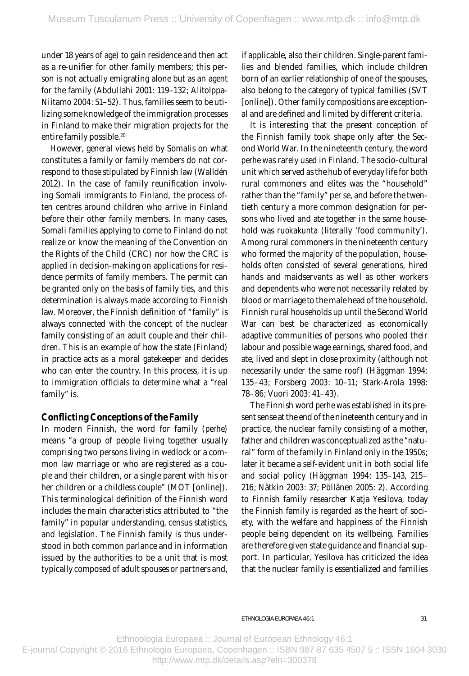under 18 years of age) to gain residence and then act as a re-unifier for other family members; this person is not actually emigrating alone but as an agent for the family (Abdullahi 2001: 119-132; Alitolppa-Niitamo 2004: 51-52). Thus, families seem to be utilizing some knowledge of the immigration processes in Finland to make their migration projects for the entire family possible.<sup>20</sup>

However, general views held by Somalis on what constitutes a family or family members do not correspond to those stipulated by Finnish law (Walldén 2012). In the case of family reunification involving Somali immigrants to Finland, the process often centres around children who arrive in Finland before their other family members. In many cases, Somali families applying to come to Finland do not realize or know the meaning of the Convention on the Rights of the Child (CRC) nor how the CRC is applied in decision-making on applications for residence permits of family members. The permit can be granted only on the basis of family ties, and this determination is always made according to Finnish law. Moreover, the Finnish definition of "family" is always connected with the concept of the nuclear family consisting of an adult couple and their children. This is an example of how the state (Finland) in practice acts as a moral gatekeeper and decides who can enter the country. In this process, it is up to immigration officials to determine what a "real family" is.

### **Confl icting Conceptions of the Family**

In modern Finnish, the word for family (*perhe*) means "a group of people living together usually comprising two persons living in wedlock or a common law marriage or who are registered as a couple and their children, or a single parent with his or her children or a childless couple" (MOT [online]). This terminological definition of the Finnish word includes the main characteristics attributed to "the family" in popular understanding, census statistics, and legislation. The Finnish family is thus understood in both common parlance and in information issued by the authorities to be a unit that is most ty pically composed of adult spouses or partners and, if applicable, also their children. Single-parent families and blended families, which include children born of an earlier relationship of one of the spouses, also belong to the category of typical families (SVT [online]). Other family compositions are exceptional and are defined and limited by different criteria.

It is interesting that the present conception of the Finnish family took shape only after the Second World War. In the nineteenth century, the word *perhe* was rarely used in Finland. The socio-cultural unit which served as the hub of ever yday life for both rural commoners and elites was the "household" rather than the "family" per se, and before the twentieth century a more common designation for persons who lived and ate together in the same household was *ruokakunta* (literally 'food community'). Among rural commoners in the nineteenth century who formed the majority of the population, households often consisted of several generations, hired hands and maidservants as well as other workers and dependents who were not necessarily related by blood or marriage to the male head of the household. Finnish rural households up until the Second World War can best be characterized as economically adaptive communities of persons who pooled their labour and possible wage earnings, shared food, and ate, lived and slept in close proximity (although not necessarily under the same roof) (Häggman 1994: 135– 43; Forsberg 2003: 10 –11; Stark-Arola 1998: 78-86: Vuori 2003: 41-43).

The Finnish word *perhe* was established in its present sense at the end of the nineteenth century and in practice, the nuclear family consisting of a mother, father and children was conceptualized as the "natural" form of the family in Finland only in the 1950s ; later it became a self-evident unit in both social life and social policy (Häggman 1994: 135-143, 215-216; Nätkin 2003: 37; Pöllänen 2005: 2). According to Finnish family researcher Katja Yesilova, today the Finnish family is regarded as the heart of society, with the welfare and happiness of the Finnish people being dependent on its wellbeing. Families are therefore given state guidance and financial support. In particular, Yesilova has criticized the idea that the nuclear family is essentialized and families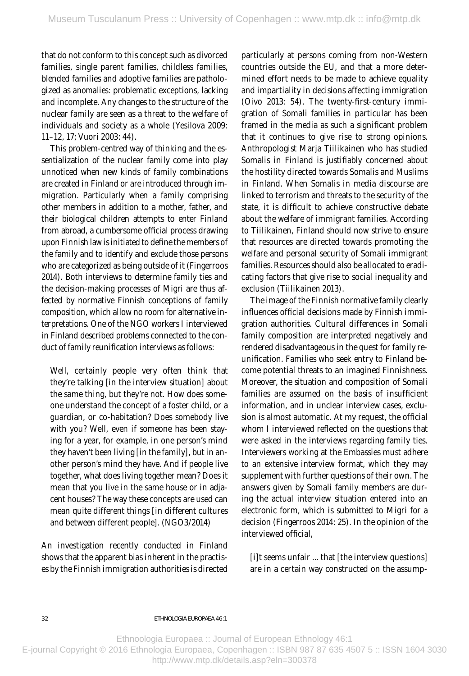that do not conform to this concept such as divorced families, single parent families, childless families, blended families and adoptive families are pathologized as *anomalies*: problematic exceptions, lacking and incomplete. Any changes to the structure of the nuclear family are seen as a threat to the welfare of individuals and society as a whole (Yesilova 2009: 11–12, 17; Vuori 2003: 44).

This problem-centred way of thinking and the essentialization of the nuclear family come into play unnoticed when new kinds of family combinations are created in Finland or are introduced through immigration. Particularly when a family comprising other members in addition to a mother, father, and their biological children attempts to enter Finland from abroad, a cumbersome official process drawing upon Finnish law is initiated to define the members of the family and to identify and exclude those persons who are categorized as being outside of it (Fingerroos 2014). Both interviews to determine family ties and the decision-making processes of Migri are thus affected by normative Finnish conceptions of family composition, which allow no room for alternative interpretations. One of the NGO workers I interviewed in Finland described problems connected to the conduct of family reunification interviews as follows:

Well, certainly people very often think that they're talking [in the interview situation] about the same thing, but they're not. How does someone understand the concept of a foster child, or a guardian, or co-habitation? Does somebody live with you? Well, even if someone has been staying for a year, for example, in one person's mind they haven't been living [in the family], but in another person's mind they have. And if people live together, what does living together mean? Does it mean that you live in the same house or in adjacent houses? The way these concepts are used can mean quite different things [in different cultures and between different people]. (NGO3/2014)

An investigation recently conducted in Finland shows that the apparent bias inherent in the practises by the Finnish immigration authorities is directed particularly at persons coming from non-Western countries outside the EU, and that a more determined effort needs to be made to achieve equality and impartiality in decisions affecting immigration  $(Oivo 2013: 54)$ . The twenty-first-century immigration of Somali families in particular has been framed in the media as such a significant problem that it continues to give rise to strong opinions. Anthropologist Marja Tiilikainen who has studied Somalis in Finland is justifiably concerned about the hostility directed towards Somalis and Muslims in Finland. When Somalis in media discourse are linked to terrorism and threats to the security of the state, it is difficult to achieve constructive debate about the welfare of immigrant families. According to Tiilikainen, Finland should now strive to ensure that resources are directed towards promoting the welfare and personal security of Somali immigrant families. Resources should also be allocated to eradicating factors that give rise to social inequality and exclusion (Tiilikainen 2013).

The image of the Finnish normative family clearly influences official decisions made by Finnish immigration authorities. Cultural differences in Somali family composition are interpreted negatively and rendered disadvantageous in the quest for family reunification. Families who seek entry to Finland become potential threats to an imagined Finnishness. Moreover, the situation and composition of Somali families are assumed on the basis of insufficient information, and in unclear interview cases, exclusion is almost automatic. At my request, the official whom I interviewed reflected on the questions that were asked in the interviews regarding family ties. Inter viewers working at the Embassies must adhere to an extensive interview format, which they may supplement with further questions of their own. The answers given by Somali family members are during the actual interview situation entered into an electronic form, which is submitted to Migri for a decision (Fingerroos 2014: 25). In the opinion of the interviewed official,

[i]t seems unfair ... that [the interview questions] are in a certain way constructed on the assump-

eThnologia euroPaea 46:1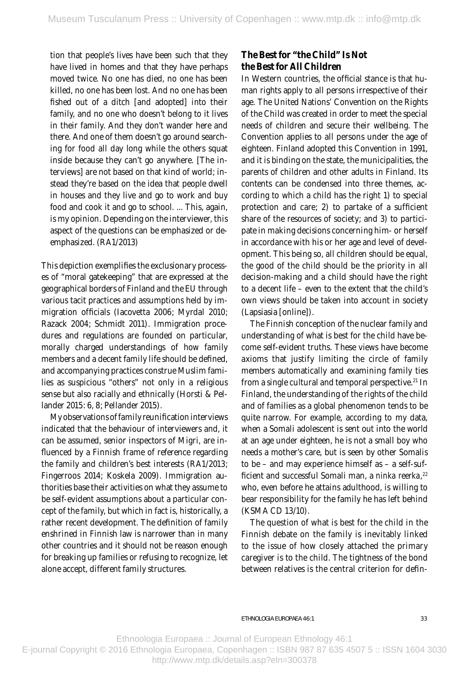tion that people's lives have been such that they have lived in homes and that they have perhaps moved twice. No one has died, no one has been killed, no one has been lost. And no one has been fished out of a ditch [and adopted] into their family, and no one who doesn't belong to it lives in their family. And they don't wander here and there. And one of them doesn't go around searching for food all day long while the others squat inside because they can't go any where. [The interviews] are not based on that kind of world; instead they're based on the idea that people dwell in houses and they live and go to work and buy food and cook it and go to school. ... This, again, is my opinion. Depending on the interviewer, this aspect of the questions can be emphasized or deemphasized. (RA1/2013)

This depiction exemplifies the exclusionary processes of "moral gatekeeping" that are expressed at the geographical borders of Finland and the EU through various tacit practices and assumptions held by immigration officials (Iacovetta 2006; Myrdal 2010; Razack 2004; Schmidt 2011). Immigration procedures and regulations are founded on particular, morally charged understandings of how family members and a decent family life should be defined, and accompanying practices construe Muslim families as suspicious "others" not only in a religious sense but also racially and ethnically (Horsti & Pellander 2015: 6, 8; Pellander 2015).

My observations of family reunification interviews indicated that the behaviour of interviewers and, it can be assumed, senior inspectors of Migri, are influenced by a Finnish frame of reference regarding the family and children's best interests (RA1/2013; Fingerroos 2014; Koskela 2009). Immigration authorities base their activities on what they assume to be self-evident assumptions about a particular concept of the family, but which in fact is, historically, a rather recent development. The definition of family enshrined in Finnish law is narrower than in many other countries and it should not be reason enough for breaking up families or refusing to recognize, let alone accept, different family structures.

## **The Best for "the Child" Is Not the Best for All Children**

In Western countries, the official stance is that human rights apply to all persons irrespective of their age. The United Nations' Convention on the Rights of the Child was created in order to meet the special needs of children and secure their wellbeing. The Convention applies to all persons under the age of eighteen. Finland adopted this Convention in 1991, and it is binding on the state, the municipalities, the parents of children and other adults in Finland. Its contents can be condensed into three themes, according to which a child has the right 1) to special protection and care; 2) to partake of a sufficient share of the resources of society; and 3) to participate in making decisions concerning him- or herself in accordance with his or her age and level of development. This being so, all children should be equal, the good of the child should be the priority in all decision-making and a child should have the right to a decent life – even to the extent that the child 's own views should be taken into account in society (Lapsiasia [online]).

The Finnish conception of the nuclear family and understanding of what is best for the child have become self-evident truths. These views have become axioms that justify limiting the circle of family members automatically and examining family ties from a single cultural and temporal perspective.<sup>21</sup> In Finland, the understanding of the rights of the child and of families as a global phenomenon tends to be quite narrow. For example, according to my data, when a Somali adolescent is sent out into the world at an age under eighteen, he is not a small boy who needs a mother's care, but is seen by other Somalis to be – and may experience himself as – a self-sufficient and successful Somali man, a *ninka reerka*, 22 who, even before he attains adulthood, is willing to bear responsibility for the family he has left behind (KSMA CD 13/10).

The question of what is best for the child in the Finnish debate on the family is inevitably linked to the issue of how closely attached the primary caregiver is to the child. The tightness of the bond between relatives is the central criterion for defin-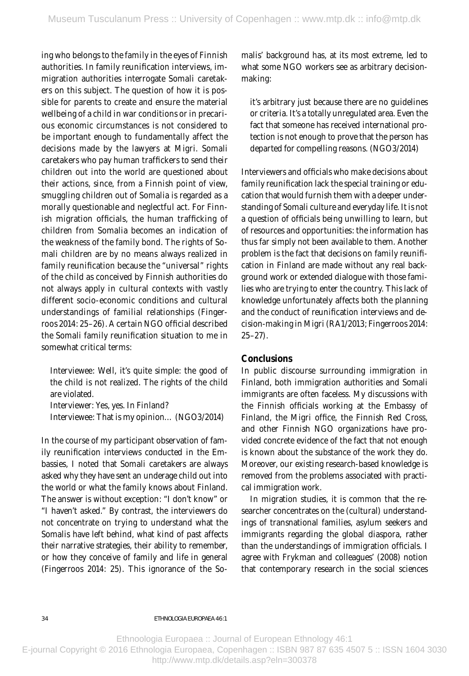ing who belongs to the family in the eyes of Finnish authorities. In family reunification interviews, immigration authorities interrogate Somali caretakers on this subject. The question of how it is possible for parents to create and ensure the material wellbeing of a child in war conditions or in precarious economic circumstances is not considered to be important enough to fundamentally affect the decisions made by the lawyers at Migri. Somali caretakers who pay human traffickers to send their children out into the world are questioned about their actions, since, from a Finnish point of view, smuggling children out of Somalia is regarded as a morally questionable and neglectful act. For Finnish migration officials, the human trafficking of children from Somalia becomes an indication of the weakness of the family bond. The rights of Somali children are by no means always realized in family reunification because the "universal" rights of the child as conceived by Finnish authorities do not always apply in cultural contexts with vastly different socio-economic conditions and cultural understandings of familial relationships (Fingerroos 2014: 25-26). A certain NGO official described the Somali family reunification situation to me in somewhat critical terms :

Interviewee: Well, it's quite simple: the good of the child is not realized. The rights of the child are violated.

Interviewer: Yes, yes. In Finland? Interviewee: That is my opinion... (NGO3/2014)

In the course of my participant obser vation of family reunification interviews conducted in the Embassies, I noted that Somali caretakers are always asked why they have sent an underage child out into the world or what the family knows about Finland. The answer is without exception: "I don't know" or "I haven't asked." By contrast, the interviewers do not concentrate on trying to understand what the Somalis have left behind, what kind of past affects their narrative strategies, their ability to remember, or how they conceive of family and life in general (Fingerroos 2014: 25). This ignorance of the Somalis' background has, at its most extreme, led to what some NGO workers see as arbitrary decisionmaking :

it's arbitrary just because there are no guidelines or criteria. It's a totally unregulated area. Even the fact that someone has received international protection is not enough to prove that the person has departed for compelling reasons. (NGO3/2014)

Inter viewers and officials who make decisions about family reunification lack the special training or education that would furnish them with a deeper understanding of Somali culture and ever yday life. It is not a question of officials being unwilling to learn, but of resources and opportunities: the information has thus far simply not been available to them. Another problem is the fact that decisions on family reunification in Finland are made without any real background work or extended dialogue with those families who are trying to enter the country. This lack of knowledge unfortunately affects both the planning and the conduct of reunification interviews and decision-making in Migri (R A1/2013; Fingerroos 2014:  $25 - 27$ .

### **Conclusions**

In public discourse surrounding immigration in Finland, both immigration authorities and Somali immigrants are often faceless. My discussions with the Finnish officials working at the Embassy of Finland, the Migri office, the Finnish Red Cross, and other Finnish NGO organizations have provided concrete evidence of the fact that not enough is known about the substance of the work they do. Moreover, our existing research-based knowledge is removed from the problems associated with practical immigration work.

In migration studies, it is common that the researcher concentrates on the (cultural) understandings of transnational families, asylum seekers and immigrants regarding the global diaspora, rather than the understandings of immigration officials. I agree with Frykman and colleagues' (2008) notion that contemporary research in the social sciences

Ethnoologia Europaea :: Journal of European Ethnology 46:1

E-journal Copyright © 2016 Ethnologia Europaea, Copenhagen :: ISBN 987 87 635 4507 5 :: ISSN 1604 3030

http://www.mtp.dk/details.asp?eln=300378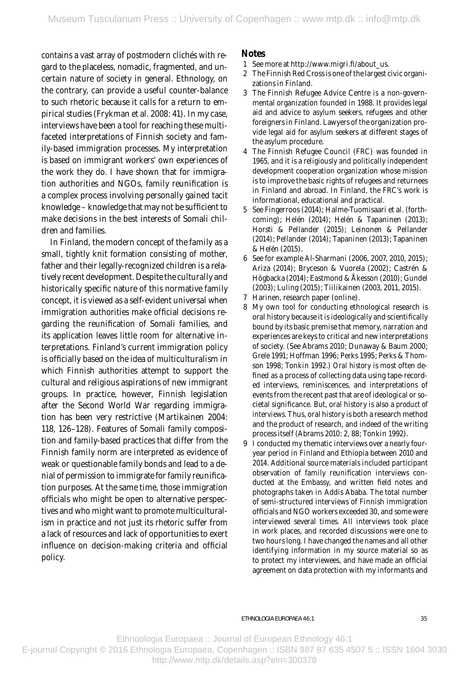contains a vast array of postmodern clichés with regard to the placeless, nomadic, fragmented, and uncertain nature of society in general. Ethnology, on the contrary, can provide a useful counter-balance to such rhetoric because it calls for a return to empirical studies (Frykman et al. 2008: 41). In my case, interviews have been a tool for reaching these multifaceted interpretations of Finnish society and family-based immigration processes. My interpretation is based on immigrant workers' own experiences of the work they do. I have shown that for immigration authorities and NGOs, family reunification is a complex process involving personally gained tacit knowledge – knowledge that may not be sufficient to make decisions in the best interests of Somali children and families.

In Finland, the modern concept of the family as a small, tightly knit formation consisting of mother, father and their legally-recognized children is a relatively recent development. Despite the culturally and historically specific nature of this normative family concept, it is viewed as a self-evident universal when immigration authorities make official decisions regarding the reunification of Somali families, and its application leaves little room for alternative interpretations. Finland's current immigration policy is officially based on the idea of multiculturalism in which Finnish authorities attempt to support the cultural and religious aspirations of new immigrant groups. In practice, however, Finnish legislation after the Second World War regarding immigration has been very restrictive (Martikainen 2004: 118, 126 –128). Features of Somali family composition and family-based practices that differ from the Finnish family norm are interpreted as evidence of weak or questionable family bonds and lead to a denial of permission to immigrate for family reunification purposes. At the same time, those immigration officials who might be open to alternative perspectives and who might want to promote multiculturalism in practice and not just its rhetoric suffer from a lack of resources and lack of opportunities to exert influence on decision-making criteria and official policy.

## **Notes**

- 1 See more at http://w w w.migri.fi/about\_us.
- 2 The Finnish Red Cross is one of the largest civic organizations in Finland.
- 3 The Finnish Refugee Advice Centre is a non-governmental organization founded in 1988. It provides legal aid and advice to asylum seekers, refugees and other foreigners in Finland. Law yers of the organization provide legal aid for asylum seekers at different stages of the asylum procedure.
- 4 The Finnish Refugee Council (FRC) was founded in 1965, and it is a religiously and politically independent development cooperation organization whose mission is to improve the basic rights of refugees and returnees in Finland and abroad. In Finland, the FRC's work is informational, educational and practical.
- 5 See Fingerroos (2014); Halme-Tuomisaari et al. (forthcoming); Helén (2014); Helén & Tapaninen (2013); Horsti & Pellander (2015); Leinonen & Pellander (2014); Pellander (2014); Tapaninen (2013); Tapaninen & Helén (2015).
- 6 See for example Al-Sharmani (2006, 2007, 2010, 2015); Ariza (2014); Bryceson & Vuorela (2002); Castrén & Högbacka (2014); Eastmond & Å kesson (2010); Gundel (2003); Luling (2015); Tiilikainen (2003, 2011, 2015).
- $\mathbf{7}$ Harinen, research paper (online).
- 8 My own tool for conducting ethnological research is oral history because it is ideologically and scientifically bound by its basic premise that memory, narration and experiences are keys to critical and new interpretations of society. (See Abrams 2010; Dunaway & Baum 2000; Grele 1991; Hoffman 1996; Perks 1995; Perks & Thomson 1998; Tonkin 1992.) *Oral history* is most often defined as a process of collecting data using tape-recorded inter views, reminiscences, and interpretations of events from the recent past that are of ideological or societal significance. But, oral history is also a *product of interviews*. Thus, oral history is both a research method and the product of research, and indeed of the writing process itself (Abrams 2010: 2, 88; Tonkin 1992).
- 9 I conducted my thematic interviews over a nearly fouryear period in Finland and Ethiopia between 2010 and 2014. Additional source materials included participant obser vation of family reunification interviews conducted at the Embassy, and written field notes and photographs taken in Addis Ababa. The total number of semi-structured interviews of Finnish immigration officials and NGO workers exceeded 30, and some were interviewed several times. All interviews took place in work places, and recorded discussions were one to two hours long. I have changed the names and all other identifying information in my source material so as to protect my interviewees, and have made an official agreement on data protection with my informants and

#### eThnologia euroPaea 46:1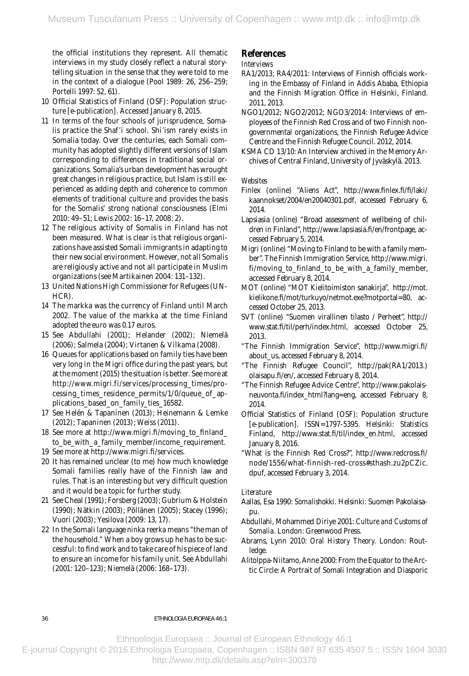the official institutions they represent. All thematic interviews in my study closely reflect a natural storytelling situation in the sense that they were told to me in the context of a dialogue (Pool 1989: 26, 256 –259; Portelli 1997: 52, 61).

- 10 Of ficial Statistics of Finland (OSF): Population structure [e-publication]. Accessed January 8, 2015.
- 11 In terms of the four schools of jurisprudence, Somalis practice the Shaf'i school. Shi'ism rarely exists in Somalia today. Over the centuries, each Somali community has adopted slightly different versions of Islam corresponding to differences in traditional social organizations. Somalia's urban development has wrought great changes in religious practice, but Islam is still experienced as adding depth and coherence to common elements of traditional culture and provides the basis for the Somalis' strong national consciousness (Elmi 2010 : 49–51; Lewis 2002: 16 –17, 2008: 2).
- 12 The religious activity of Somalis in Finland has not been measured. What is clear is that religious organizations have assisted Somali immigrants in adapting to their new social environment. However, not all Somalis are religiously active and not all participate in Muslim organizations (see Martikainen 2004: 131–132).
- 13 United Nations High Commissioner for Refugees (UN-HCR).
- 14 The markka was the currency of Finland until March 2002. The value of the markka at the time Finland adopted the euro was 0.17 euros.
- 15 See Abdullahi (2001); Helander (2002); Niemelä (2006); Salmela (2004); Virtanen & Vilkama (2008).
- 16 Queues for applications based on family ties have been very long in the Migri office during the past years, but at the moment (2015) the situation is better. See more at http://www.migri.fi/services/processing\_times/processing\_times\_residence\_permits/1/0/queue\_of\_applications\_based\_on\_family\_ties\_16582.
- 17 See Helén & Tapaninen (2013); Heinemann & Lemke (2012); Tapaninen (2013); Weiss (2011).
- 18 See more at http://ww w.migri.fi/moving \_to\_finland\_ to\_be\_with\_a\_family\_member/income\_requirement.
- 19 See more at http://w w w.migri.fi/ser vices.
- 20 It has remained unclear (to me) how much knowledge Somali families really have of the Finnish law and rules. That is an interesting but very difficult question and it would be a topic for further study.
- 21 See Cheal (1991); Forsberg (2003); Gubrium & Holstein (1990); Nätkin (2003); Pöllänen (2005); Stacey (1996); Vuori (2003); Yesilova (2009: 13, 17).
- 22 In the Somali language *ninka reerka* means "the man of the household." When a boy grows up he has to be successful: to find work and to take care of his piece of land to ensure an income for his family unit. See Abdullahi (2001: 120 –123); Niemelä (2006: 168 –173).

## **References**

#### *Interviews*

- RA1/2013; RA4/2011: Interviews of Finnish officials working in the Embassy of Finland in Addis Ababa, Ethiopia and the Finnish Migration Office in Helsinki, Finland. 2011, 2013.
- NGO1/2012; NGO2/2012; NGO3/2014: Interviews of employees of the Finnish Red Cross and of two Finnish nongovernmental organizations, the Finnish Refugee Advice Centre and the Finnish Refugee Council. 2012, 2014.
- KSMA CD 13/10: An Interview archived in the Memory Archives of Central Finland, University of Jyväskylä. 2013.

#### *Websites*

- Finlex (online) "Aliens Act", http://www.finlex.fi/fi/laki/ kaannokset/2004/en20040301.pdf, accessed February 6, 2014.
- Lapsiasia (online) "Broad assessment of wellbeing of children in Finland", http://www.lapsiasia.fi/en/frontpage, accessed February 5, 2014.
- Migri (online) "Moving to Finland to be with a family member". The Finnish Immigration Service, http://www.migri. fi/moving\_to\_finland\_to\_be\_with\_a\_family\_member, accessed February 8, 2014.
- MOT (online) "MOT Kielitoimiston sanakirja", http://mot. kielikone.fi/mot/turkuyo/netmot.exe?motportal=80, accessed October 25, 2013.
- SVT (online) "Suomen virallinen tilasto / Perheet", http:// www.stat.fi/til/perh/index.html, accessed October 25, 2013.
- "The Finnish Immigration Service", http://www.migri.fi/ about\_us, accessed February 8, 2014.
- "The Finnish Refugee Council", http://pak(RA1/2013.) olaisapu.fi/en/, accessed February 8, 2014.
- "The Finnish Refugee Advice Centre", http://www.pakolaisneuvonta.fi/index\_html?lang=eng, accessed February 8, 2014.
- Official Statistics of Finland (OSF): Population structure [e-publication]. ISSN=1797-5395. Helsinki: Statistics Finland, http://www.stat.fi/til/index\_en.html, accessed January 8, 2016.
- "What is the Finnish Red Cross?", http://www.redcross.fi/ node/1556/w hat-finnish-red-cross#sthash.zu2pCZic. dpuf, accessed February 3, 2014.

#### *Literature*

- Aallas, Esa 1990: *Somalishokki.* Helsinki: Suomen Pakolaisapu.
- Abdullahi, Mohammed Diriye 2001: *Culture and Customs of Somalia.* London: Greenwood Press.
- Abrams, Lynn 2010: *Oral History Theory.* London: Routledge.
- Alitolppa-Niitamo, Anne 2000: From the Equator to the Arctic Circle: A Portrait of Somali Integration and Diasporic

#### eThnologia euroPaea 46:1

Ethnoologia Europaea :: Journal of European Ethnology 46:1

E-journal Copyright © 2016 Ethnologia Europaea, Copenhagen :: ISBN 987 87 635 4507 5 :: ISSN 1604 3030 http://www.mtp.dk/details.asp?eln=300378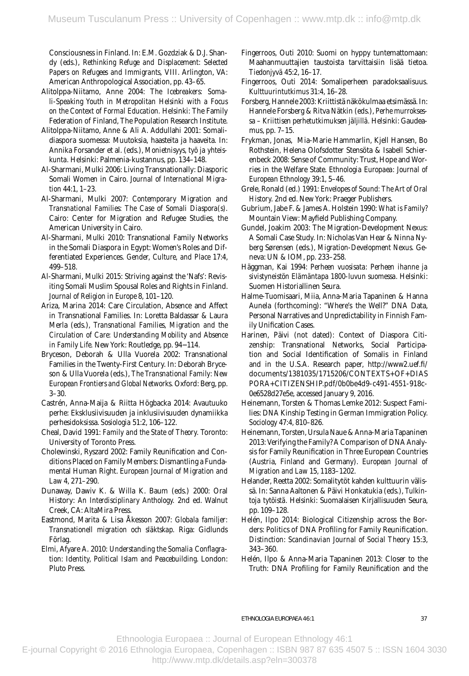*Papers on Refugees and Immigrants,* VIII. Arlington, VA: American Anthropological Association, pp. 43–65. Consciousness in Finland. In: E.M. Gozdziak & D.J. Shandy (eds.), *Rethinking Refuge and Displacement: Selected* 

- Alitolppa-Niitamo, Anne 2004: T*he Icebreakers: Somali-Speaking Youth in Metropolitan Helsinki with a Focus on the Context of Formal Education.* Helsinki: The Family Federation of Finland, The Population Research Institute.
- Alitolppa-Niitamo, Anne & Ali A. Addullahi 2001: Somalidiaspora suomessa: Muutoksia, haasteita ja haaveita. In: Annika Forsander et al. (eds.), *Monietnisyys, työ ja yhteiskunta.* Helsinki: Palmenia-kustannus, pp. 134–148.
- Al-Sharmani, Mulki 2006: Living Transnationally: Diasporic Somali Women in Cairo. *Journal of International Migration* 44:1, 1–23.
- Al-Sharmani, Mulki 2007: *Contemporary Migration and Transnational Families: The Case of Somali Diaspora(s).*  Cairo: Center for Migration and Refugee Studies, the American University in Cairo.
- Al-Sharmani, Mulki 2010: Transnational Family Networks in the Somali Diaspora in Egypt: Women's Roles and Differentiated Experiences. *Gender, Culture, and Place* 17:4, 499–518.
- Al-Sharmani, Mulki 2015: Striving against the 'Nafs': Revisiting Somali Muslim Spousal Roles and Rights in Finland. *Journal of Religion in Europe* 8, 101–120.
- Ariza, Marina 2014: Care Circulation, Absence and Affect in Transnational Families. In: Loretta Baldassar & Laura Merla (eds.), *Transnational Families, Migration and the Circulation of Care: Understanding Mobility and Absence in Family Life.* New York: Routledge, pp. 94−114.
- Bryceson, Deborah & Ulla Vuorela 2002: Transnational Families in the Twenty-First Century. In: Deborah Bryceson & Ulla Vuorela (eds.), *The Transnational Family: New European Frontiers and Global Networks.* Oxford: Berg, pp. 3–30.
- Castrén, Anna-Maija & Riitta Högbacka 2014: Avautuuko perhe: Eksklusiivisuuden ja inklusiivisuuden dynamiikka perhesidoksissa. *Sosiologia* 51:2, 106–122.
- Cheal, David 1991: *Family and the State of Theory.* Toronto: University of Toronto Press.
- Cholewinski, Ryszard 2002: Family Reunification and Conditions Placed on Family Members: Dismantling a Fundamental Human Right. *European Journal of Migration and Law* 4, 271–290.
- Dunaway, Dawiv K. & Willa K. Baum (eds.) 2000: Oral History: *An Interdisciplinary Anthology.* 2nd ed. Walnut Creek, CA: AltaMira Press.
- Eastmond, Marita & Lisa Åkesson 2007: *Globala familjer: Transnationell migration och släktskap.* Riga: Gidlunds Förlag.
- Elmi, Afyare A. 2010: *Understanding the Somalia Conflagration: Identity, Political Islam and Peacebuilding*. London: Pluto Press.
- Fingerroos, Outi 2010: Suomi on hyppy tuntemattomaan: Maahanmuuttajien taustoista tarvittaisiin lisää tietoa. *Tiedonjyvä* 45:2, 16–17.
- Fingerroos, Outi 2014: Somaliperheen paradoksaalisuus. *Kulttuurintutkimus* 31:4, 16–28.
- Forsberg, Hannele 2003: Kriittistä näkökulmaa etsimässä. In: Hannele Forsberg & Ritva Nätkin (eds.), *Perhe murroksessa – Kriittisen perhetutkimuksen jäljillä.* Helsinki: Gaudeamus, pp. 7–15.
- Frykman, Jonas, Mia-Marie Hammarlin, Kjell Hansen, Bo Rothstein, Helena Olofsdotter Stensöta & Isabell Schierenbeck 2008: Sense of Community: Trust, Hope and Worries in the Welfare State. *Ethnologia Europaea: Journal of European Ethnology* 39:1, 5–46.
- Grele, Ronald (ed.) 1991: *Envelopes of Sound: The Art of Oral History.* 2nd ed. New York: Praeger Publishers.
- Gubrium, Jabe F. & James A. Holstein 1990: *What is Family?*  Mountain View: Mayfield Publishing Company.
- Gundel, Joakim 2003: The Migration-Development Nexus: A Somali Case Study. In: Nicholas Van Hear & Ninna Nyberg Sørensen (eds.), *Migration-Development Nexus.* Geneva: UN & IOM, pp. 233–258.
- Häggman, Kai 1994: *Perheen vuosisata: Perheen ihanne ja sivistyneistön Elämäntapa 1800-luvun suomessa.* Helsinki: Suomen Historiallinen Seura.
- Halme-Tuomisaari, Miia, Anna-Maria Tapaninen & Hanna Aunela (forthcoming): "Where's the Well?" DNA Data, Personal Narratives and Unpredictability in Finnish Family Unification Cases.
- Harinen, Päivi (not dated): Context of Diaspora Citizenship: Transnational Networks, Social Participation and Social Identification of Somalis in Finland and in the U.S.A. Research paper, http://www2.uef.fi/ documents/1381035/1715206/CONTEXTS+OF+DIAS PORA+CITIZENSHIP.pdf/0b0be4d9-c491-4551-918c-0e6528d27e5e, accessed January 9, 2016.
- Heinemann, Torsten & Thomas Lemke 2012: Suspect Families: DNA Kinship Testing in German Immigration Policy. *Sociology* 47:4, 810–826.
- Heinemann, Torsten, Ursula Naue & Anna-Maria Tapaninen 2013: Verifying the Family? A Comparison of DNA Analysis for Family Reunification in Three European Countries (Austria, Finland and Germany). *European Journal of Migration and Law* 15, 1183–1202.
- Helander, Reetta 2002: Somalitytöt kahden kulttuurin välissä. In: Sanna Aaltonen & Päivi Honkatukia (eds.), *Tulkintoja tytöistä.* Helsinki: Suomalaisen Kirjallisuuden Seura, pp. 109–128.
- Helén, Ilpo 2014: Biological Citizenship across the Borders: Politics of DNA Profiling for Family Reunification. *Distinction: Scandinavian Journal of Social Theory* 15:3, 343–360.
- Helén, Ilpo & Anna-Maria Tapaninen 2013: Closer to the Truth: DNA Profiling for Family Reunification and the

Ethnoologia Europaea :: Journal of European Ethnology 46:1

E-journal Copyright © 2016 Ethnologia Europaea, Copenhagen :: ISBN 987 87 635 4507 5 :: ISSN 1604 3030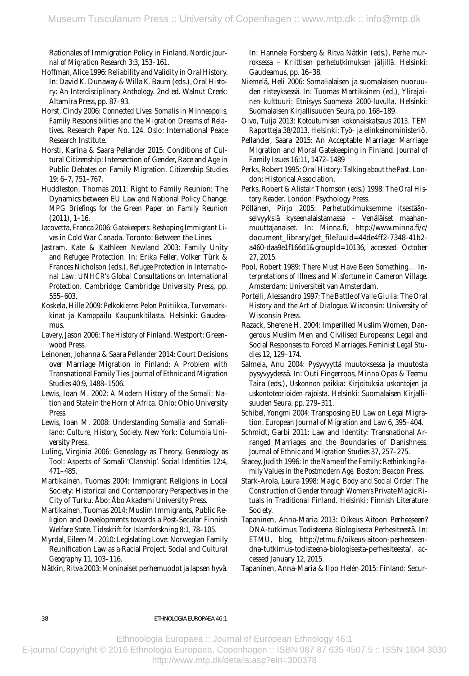Rationales of Immigration Policy in Finland. *Nordic Journal of Migration Research* 3:3, 153–161.

- Hoffman, Alice 1996: Reliability and Validity in Oral History. In: David K. Dunaway & Willa K. Baum (eds.), *Oral History: An Interdisciplinary Anthology.* 2nd ed. Walnut Creek: Altamira Press, pp. 87–93.
- Horst, Cindy 2006: *Connected Lives: Somalis in Minneapolis, Family Responsibilities and the Migration Dreams of Relatives.* Research Paper No. 124. Oslo: International Peace Research Institute.
- Horsti, Karina & Saara Pellander 2015: Conditions of Cultural Citizenship: Intersection of Gender, Race and Age in Public Debates on Family Migration. *Citizenship Studies*  19: 6–7, 751–767.
- Huddleston, Thomas 2011: Right to Family Reunion: The Dynamics between EU Law and National Policy Change. *MPG Briefings for the Green Paper on Family Reunion*  (2011), 1–16.
- Iacovetta, Franca 2006: *Gatekeepers: Reshaping Immigrant Lives in Cold War Canada.* Toronto: Between the Lines.
- Jastram, Kate & Kathleen Newland 2003: Family Unity and Refugee Protection. In: Erika Feller, Volker Türk & Frances Nicholson (eds.), *Refugee Protection in International Law: UNHCR's Global Consultations on International Protection.* Cambridge: Cambridge University Press, pp. 555–603.
- Koskela, Hille 2009: *Pelkokierre: Pelon Politiikka, Turvamarkkinat ja Kamppailu Kaupunkitilasta.* Helsinki: Gaudeamus.
- Lavery, Jason 2006: *The History of Finland.* Westport: Greenwood Press.
- Leinonen, Johanna & Saara Pellander 2014: Court Decisions over Marriage Migration in Finland: A Problem with Transnational Family Ties. *Journal of Ethnic and Migration Studies* 40:9, 1488–1506.
- Lewis, Ioan M. 2002: *A Modern History of the Somali: Nation and State in the Horn of Africa.* Ohio: Ohio University Press.
- Lewis, Ioan M. 2008: *Understanding Somalia and Somaliland: Culture, History, Society.* New York: Columbia University Press.
- Luling, Virginia 2006: Genealogy as Theory, Genealogy as Tool: Aspects of Somali 'Clanship'. *Social Identities* 12:4, 471–485.
- Martikainen, Tuomas 2004: Immigrant Religions in Local Society: Historical and Contemporary Perspectives in the City of Turku. Åbo: Åbo Akademi University Press.
- Martikainen, Tuomas 2014: Muslim Immigrants, Public Religion and Developments towards a Post-Secular Finnish Welfare State. *Tidsskrift for Islamforskning* 8:1, 78–105.
- Myrdal, Eileen M. 2010: Legislating Love: Norwegian Family Reunification Law as a Racial Project. *Social and Cultural Geography* 11, 103–116.
- Nätkin, Ritva 2003: Moninaiset perhemuodot ja lapsen hyvä.

 *roksessa – Kriittisen perhetutkimuksen jäljillä.* Helsinki: In: Hannele Forsberg & Ritva Nätkin (eds.), *Perhe mur-*Gaudeamus, pp. 16–38.

- Niemelä, Heli 2006: Somalialaisen ja suomalaisen nuoruuden risteyksessä. In: Tuomas Martikainen (ed.), *Ylirajainen kulttuuri: Etnisyys Suomessa 2000-luvulla.* Helsinki: Suomalaisen Kirjallisuuden Seura, pp. 168–189.
- Oivo, Tuija 2013: *Kotoutumisen kokonaiskatsaus 2013. TEM Raportteja 38/2013.* Helsinki: Työ- ja elinkeinoministeriö.
- Pellander, Saara 2015: An Acceptable Marriage: Marriage Migration and Moral Gatekeeping in Finland. *Journal of Family Issues* 16:11, 1472–1489
- Perks, Robert 1995: *Oral History: Talking about the Past.* London: Historical Association.
- Perks, Robert & Alistair Thomson (eds.) 1998: *The Oral History Reader.* London: Psychology Press.
- Pöllänen, Pirjo 2005: Perhetutkimuksemme itsestäänselvyyksiä kyseenalaistamassa – Venäläiset maahanmuuttajanaiset. In: *Minna.fi,* http://www.minna.fi/c/ document\_librar y/get\_file?uuid=44de4ff2-7348-41b2 a460-daa9e1f166d1&groupId=10136, accessed October 27, 2015.
- Pool, Robert 1989: *There Must Have Been Something… Interpretations of Illness and Misfortune in Cameron Village.*  Amsterdam: Universiteit van Amsterdam.
- Portelli, Alessandro 1997: *The Battle of Valle Giulia: The Oral History and the Art of Dialogue*. Wisconsin: University of Wisconsin Press.
- Razack, Sherene H. 2004: Imperilled Muslim Women, Dangerous Muslim Men and Civilised Europeans: Legal and Social Responses to Forced Marriages. *Feminist Legal Studies* 12, 129–174.
- Salmela, Anu 2004: Pysyvyyttä muutoksessa ja muutosta pysyvyydessä. In: Outi Fingerroos, Minna Opas & Teemu Taira (eds.), *Uskonnon paikka: Kirjoituksia uskontojen ja uskontoteorioiden rajoista.* Helsinki: Suomalaisen Kirjallisuuden Seura, pp. 279–311.
- Schibel, Yongmi 2004: Transposing EU Law on Legal Migration. *European Journal of Migration and Law* 6, 395–404.
- Schmidt, Garbi 2011: Law and Identity: Transnational Arranged Marriages and the Boundaries of Danishness. *Journal of Ethnic and Migration Studies* 37, 257–275.
- Stacey, Judith 1996: *In the Name of the Family: Rethinking Family Values in the Postmodern Age.* Boston: Beacon Press.
- Stark-Arola, Laura 1998: *Magic, Body and Social Order: The Construction of Gender throu*g*h Women's Private Magic Rituals in Traditional Finland.* Helsinki: Finnish Literature Society.
- Tapaninen, Anna-Maria 2013: Oikeus Aitoon Perheeseen? DNA-tutkimus Todisteena Biologisesta Perhesiteestä. In: *ETMU, blog,* http://etmu.fi/oikeus-aitoon-perheeseendna-tutkimus-todisteena-biologisesta-perhesiteesta/, accessed January 12, 2015.
- Tapaninen, Anna-Maria & Ilpo Helén 2015: Finland: Secur-

#### eThnologia euroPaea 46:1

Ethnoologia Europaea :: Journal of European Ethnology 46:1

E-journal Copyright © 2016 Ethnologia Europaea, Copenhagen :: ISBN 987 87 635 4507 5 :: ISSN 1604 3030 http://www.mtp.dk/details.asp?eln=300378